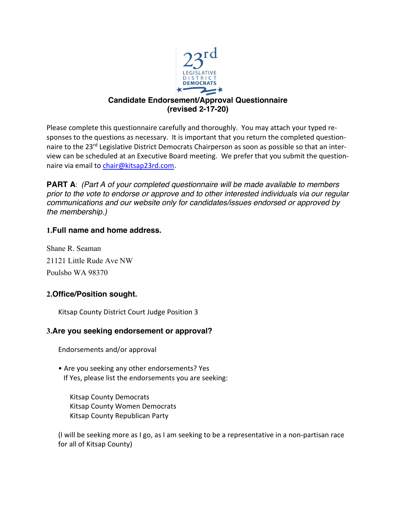

# **Candidate Endorsement/Approval Questionnaire (revised 2-17-20)**

Please complete this questionnaire carefully and thoroughly. You may attach your typed responses to the questions as necessary. It is important that you return the completed questionnaire to the 23<sup>rd</sup> Legislative District Democrats Chairperson as soon as possible so that an interview can be scheduled at an Executive Board meeting. We prefer that you submit the questionnaire via email to [chair@kitsap23rd.com.](mailto:chair@kitsap23rd.com)

**PART A**: *(Part A of your completed questionnaire will be made available to members prior to the vote to endorse or approve and to other interested individuals via our regular communications and our website only for candidates/issues endorsed or approved by the membership.)*

# **1.Full name and home address.**

Shane R. Seaman 21121 Little Rude Ave NW Poulsbo WA 98370

# **2.Office/Position sought.**

Kitsap County District Court Judge Position 3

# **3.Are you seeking endorsement or approval?**

Endorsements and/or approval

• Are you seeking any other endorsements? Yes If Yes, please list the endorsements you are seeking:

Kitsap County Democrats Kitsap County Women Democrats Kitsap County Republican Party

(I will be seeking more as I go, as I am seeking to be a representative in a non-partisan race for all of Kitsap County)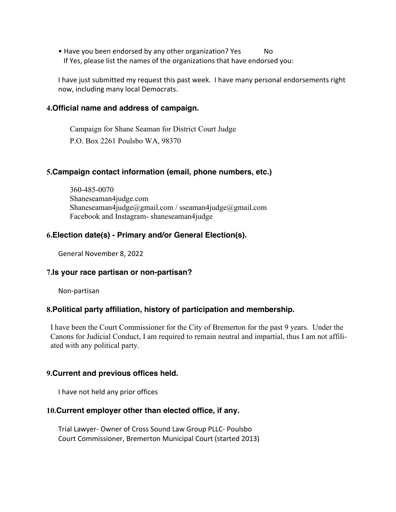• Have you been endorsed by any other organization? Yes No If Yes, please list the names of the organizations that have endorsed you:

I have just submitted my request this past week. I have many personal endorsements right now, including many local Democrats.

### **4.Official name and address of campaign.**

Campaign for Shane Seaman for District Court Judge P.O. Box 2261 Poulsbo WA, 98370

### **5.Campaign contact information (email, phone numbers, etc.)**

360-485-0070 Shaneseaman4judge.com Shaneseaman4judge@gmail.com / sseaman4judge@gmail.com Facebook and Instagram- shaneseaman4judge

## **6.Election date(s) - Primary and/or General Election(s).**

General November 8, 2022

#### **7.Is your race partisan or non-partisan?**

Non-partisan

## **8.Political party affiliation, history of participation and membership.**

I have been the Court Commissioner for the City of Bremerton for the past 9 years. Under the Canons for Judicial Conduct, I am required to remain neutral and impartial, thus I am not affiliated with any political party.

## **9.Current and previous offices held.**

I have not held any prior offices

#### **10.Current employer other than elected office, if any.**

Trial Lawyer- Owner of Cross Sound Law Group PLLC- Poulsbo Court Commissioner, Bremerton Municipal Court (started 2013)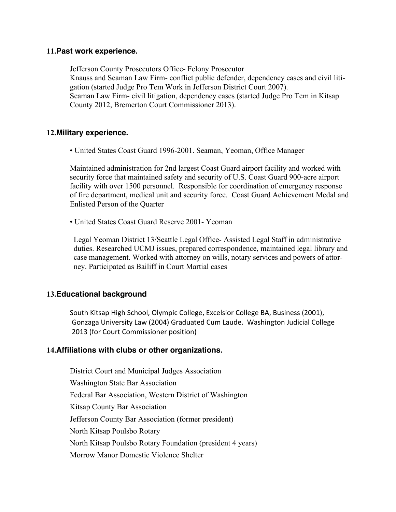## **11.Past work experience.**

Jefferson County Prosecutors Office- Felony Prosecutor Knauss and Seaman Law Firm- conflict public defender, dependency cases and civil litigation (started Judge Pro Tem Work in Jefferson District Court 2007). Seaman Law Firm- civil litigation, dependency cases (started Judge Pro Tem in Kitsap County 2012, Bremerton Court Commissioner 2013).

## **12.Military experience.**

• United States Coast Guard 1996-2001. Seaman, Yeoman, Office Manager

Maintained administration for 2nd largest Coast Guard airport facility and worked with security force that maintained safety and security of U.S. Coast Guard 900-acre airport facility with over 1500 personnel. Responsible for coordination of emergency response of fire department, medical unit and security force. Coast Guard Achievement Medal and Enlisted Person of the Quarter

• United States Coast Guard Reserve 2001- Yeoman

Legal Yeoman District 13/Seattle Legal Office- Assisted Legal Staff in administrative duties. Researched UCMJ issues, prepared correspondence, maintained legal library and case management. Worked with attorney on wills, notary services and powers of attorney. Participated as Bailiff in Court Martial cases

## **13.Educational background**

South Kitsap High School, Olympic College, Excelsior College BA, Business (2001), Gonzaga University Law (2004) Graduated Cum Laude. Washington Judicial College 2013 (for Court Commissioner position)

## **14.Affiliations with clubs or other organizations.**

District Court and Municipal Judges Association Washington State Bar Association Federal Bar Association, Western District of Washington Kitsap County Bar Association Jefferson County Bar Association (former president) North Kitsap Poulsbo Rotary North Kitsap Poulsbo Rotary Foundation (president 4 years) Morrow Manor Domestic Violence Shelter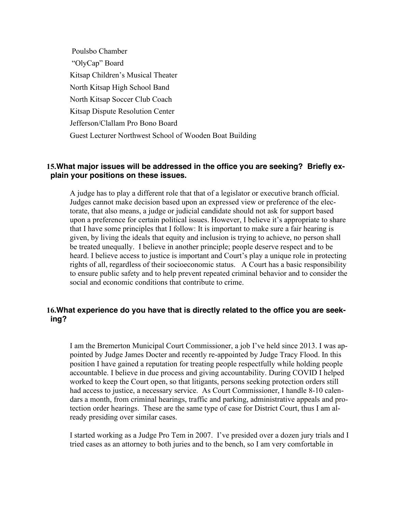Poulsbo Chamber "OlyCap" Board Kitsap Children's Musical Theater North Kitsap High School Band North Kitsap Soccer Club Coach Kitsap Dispute Resolution Center Jefferson/Clallam Pro Bono Board Guest Lecturer Northwest School of Wooden Boat Building

## **15.What major issues will be addressed in the office you are seeking? Briefly explain your positions on these issues.**

A judge has to play a different role that that of a legislator or executive branch official. Judges cannot make decision based upon an expressed view or preference of the electorate, that also means, a judge or judicial candidate should not ask for support based upon a preference for certain political issues. However, I believe it's appropriate to share that I have some principles that I follow: It is important to make sure a fair hearing is given, by living the ideals that equity and inclusion is trying to achieve, no person shall be treated unequally. I believe in another principle; people deserve respect and to be heard. I believe access to justice is important and Court's play a unique role in protecting rights of all, regardless of their socioeconomic status. A Court has a basic responsibility to ensure public safety and to help prevent repeated criminal behavior and to consider the social and economic conditions that contribute to crime.

## **16.What experience do you have that is directly related to the office you are seeking?**

I am the Bremerton Municipal Court Commissioner, a job I've held since 2013. I was appointed by Judge James Docter and recently re-appointed by Judge Tracy Flood. In this position I have gained a reputation for treating people respectfully while holding people accountable. I believe in due process and giving accountability. During COVID I helped worked to keep the Court open, so that litigants, persons seeking protection orders still had access to justice, a necessary service. As Court Commissioner, I handle 8-10 calendars a month, from criminal hearings, traffic and parking, administrative appeals and protection order hearings. These are the same type of case for District Court, thus I am already presiding over similar cases.

I started working as a Judge Pro Tem in 2007. I've presided over a dozen jury trials and I tried cases as an attorney to both juries and to the bench, so I am very comfortable in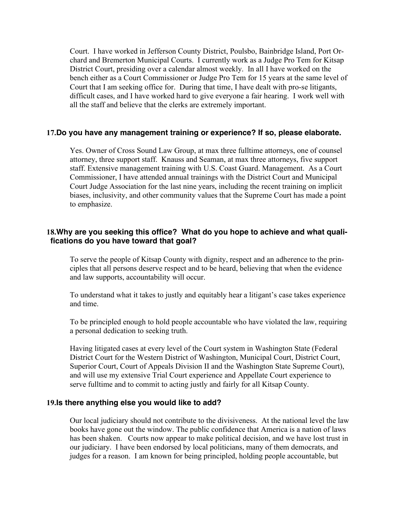Court. I have worked in Jefferson County District, Poulsbo, Bainbridge Island, Port Orchard and Bremerton Municipal Courts. I currently work as a Judge Pro Tem for Kitsap District Court, presiding over a calendar almost weekly. In all I have worked on the bench either as a Court Commissioner or Judge Pro Tem for 15 years at the same level of Court that I am seeking office for. During that time, I have dealt with pro-se litigants, difficult cases, and I have worked hard to give everyone a fair hearing. I work well with all the staff and believe that the clerks are extremely important.

### **17.Do you have any management training or experience? If so, please elaborate.**

Yes. Owner of Cross Sound Law Group, at max three fulltime attorneys, one of counsel attorney, three support staff. Knauss and Seaman, at max three attorneys, five support staff. Extensive management training with U.S. Coast Guard. Management. As a Court Commissioner, I have attended annual trainings with the District Court and Municipal Court Judge Association for the last nine years, including the recent training on implicit biases, inclusivity, and other community values that the Supreme Court has made a point to emphasize.

## **18.Why are you seeking this office? What do you hope to achieve and what qualifications do you have toward that goal?**

To serve the people of Kitsap County with dignity, respect and an adherence to the principles that all persons deserve respect and to be heard, believing that when the evidence and law supports, accountability will occur.

To understand what it takes to justly and equitably hear a litigant's case takes experience and time.

To be principled enough to hold people accountable who have violated the law, requiring a personal dedication to seeking truth.

Having litigated cases at every level of the Court system in Washington State (Federal District Court for the Western District of Washington, Municipal Court, District Court, Superior Court, Court of Appeals Division II and the Washington State Supreme Court), and will use my extensive Trial Court experience and Appellate Court experience to serve fulltime and to commit to acting justly and fairly for all Kitsap County.

#### **19.Is there anything else you would like to add?**

Our local judiciary should not contribute to the divisiveness. At the national level the law books have gone out the window. The public confidence that America is a nation of laws has been shaken. Courts now appear to make political decision, and we have lost trust in our judiciary. I have been endorsed by local politicians, many of them democrats, and judges for a reason. I am known for being principled, holding people accountable, but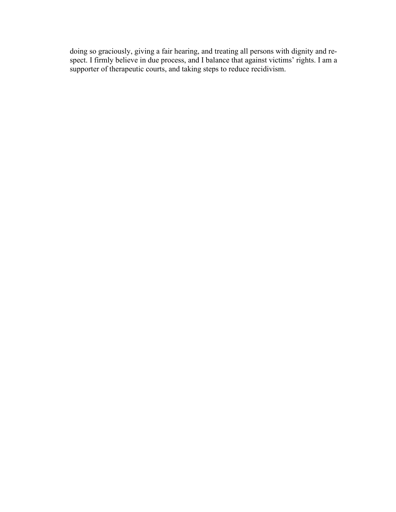doing so graciously, giving a fair hearing, and treating all persons with dignity and respect. I firmly believe in due process, and I balance that against victims' rights. I am a supporter of therapeutic courts, and taking steps to reduce recidivism.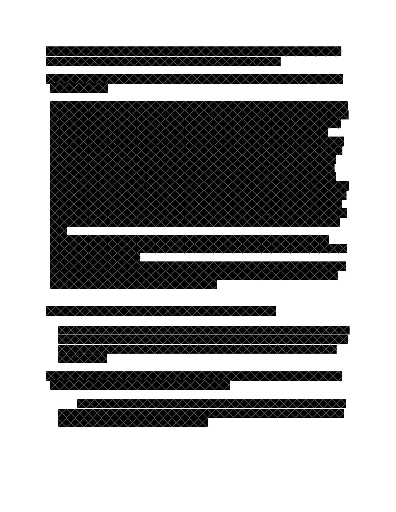